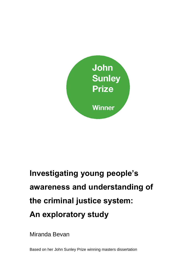

# **Investigating young people's awareness and understanding of the criminal justice system: An exploratory study**

Miranda Bevan

Based on her John Sunley Prize winning masters dissertation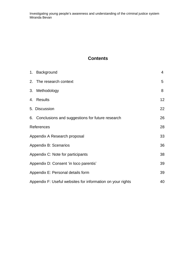# **Contents**

|                                        | 1. Background                                              | $\overline{4}$ |
|----------------------------------------|------------------------------------------------------------|----------------|
|                                        | 2. The research context                                    | 5              |
|                                        | 3. Methodology                                             | 8              |
|                                        | 4. Results                                                 | 12             |
|                                        | 5. Discussion                                              | 22             |
|                                        | 6. Conclusions and suggestions for future research         | 26             |
| References                             |                                                            | 28             |
| Appendix A Research proposal           |                                                            | 33             |
|                                        | Appendix B: Scenarios                                      | 36             |
|                                        | Appendix C: Note for participants                          |                |
| Appendix D: Consent 'in loco parentis' |                                                            | 39             |
| Appendix E: Personal details form      |                                                            |                |
|                                        | Appendix F: Useful websites for information on your rights | 40             |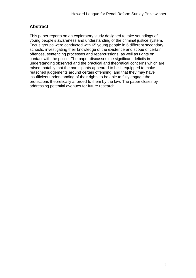# **Abstract**

This paper reports on an exploratory study designed to take soundings of young people's awareness and understanding of the criminal justice system. Focus groups were conducted with 65 young people in 6 different secondary schools, investigating their knowledge of the existence and scope of certain offences, sentencing processes and repercussions, as well as rights on contact with the police. The paper discusses the significant deficits in understanding observed and the practical and theoretical concerns which are raised; notably that the participants appeared to be ill-equipped to make reasoned judgements around certain offending, and that they may have insufficient understanding of their rights to be able to fully engage the protections theoretically afforded to them by the law. The paper closes by addressing potential avenues for future research.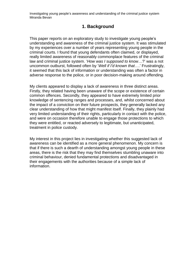# **1. Background**

This paper reports on an exploratory study to investigate young people's understanding and awareness of the criminal justice system. It was stimulated by my experiences over a number of years representing young people in the criminal courts. I found that young defendants often claimed, or displayed, really limited awareness of reasonably commonplace features of the criminal law and criminal justice system. '*How was I supposed to know*…?' was a not uncommon outburst, followed often by '*Well if I'd known that*….' Frustratingly, it seemed that this lack of information or understanding was often a factor in adverse response to the police, or in poor decision-making around offending.

My clients appeared to display a lack of awareness in three distinct areas. Firstly, they related having been unaware of the scope or existence of certain common offences. Secondly, they appeared to have extremely limited prior knowledge of sentencing ranges and processes, and, whilst concerned about the impact of a conviction on their future prospects, they generally lacked any clear understanding of how that might manifest itself. Finally, they plainly had very limited understanding of their rights, particularly in contact with the police, and were on occasion therefore unable to engage those protections to which they were entitled, or reacted adversely to legitimate, but unanticipated, treatment in police custody.

My interest in this project lies in investigating whether this suggested lack of awareness can be identified as a more general phenomenon. My concern is that if there is such a dearth of understanding amongst young people in these areas, there is the risk that they may find themselves stumbling unaware into criminal behaviour, denied fundamental protections and disadvantaged in their engagements with the authorities because of a simple lack of information.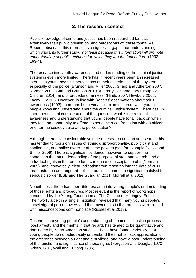# **2. The research context**

Public knowledge of crime and justice has been researched far less extensively than public opinion on, and perceptions of, these topics. As Roberts observes, this represents a significant gap in our understanding which warrants further study, '*not least because this information will promote understanding of public attitudes for which they are the foundation'.* (1992: 163-4).

The research into youth awareness and understanding of the criminal justice system is even more limited. There has in recent years been an increased interest in young people's perceptions of their experiences of the system, especially of the police (Brunson and Miller 2006, Sharp and Atherton 2007, Norman 2009, Gau and Brunson 2010, All Party Parliamentary Group for Children 2014), and of procedural fairness, (Hinds 2007, Newbury 2008, Lacey, L 2012). However, in line with Roberts' observations about adult awareness (1992), there has been very little examination of what young people know and understand about the criminal justice system. There has, in short, been scant consideration of the question: what is the residual awareness and understanding that young people have to fall back on when they face an opportunity to offend, experience a confrontation with an officer, or enter the custody suite at the police station?

Although there is a considerable volume of research on stop and search, this has tended to focus on issues of ethnic disproportionality, public trust and confidence, and police exercise of these powers (see for example Delsol and Shiner 2006). There is significant evidence, however, to support the contention that an understanding of the purpose of stop and search, and of individual rights in that procedure, can enhance acceptance of it (Norman 2009), and, conversely, clear indication from research into the riots of 2011 that frustration and anger at policing practices can be a significant catalyst for serious disorder (LSE and The Guardian 2011, Morrell et al 2011).

Nonetheless, there has been little research into young people's understanding of those rights and procedures. Most relevant is the report of workshops conducted by the Young Foundation at The College of Haringey, Enfield. Their work, albeit in a single institution, revealed that many young people's knowledge of police powers and their own rights in that process were limited, with misconceptions commonplace (Russell et al 2013).

Research into young people's understanding of the criminal justice process 'post arrest', and their rights in that regard, has tended to be quantitative and dominated by North American studies. These have found, variously, that young people do not adequately understand their rights, lack appreciation of the difference between a right and a privilege, and have a poor understanding of the function and significance of those rights (Ferguson and Douglas 1970, Grisso 1981, Wall and Furlong 1985).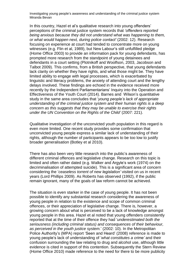In this country, Hazel et al's qualitative research into young offenders' perceptions of the criminal justice system records that *'offenders reported being anxious because they did not understand what was happening to them, or what would happen next, during police contact'* (2002: 12). Research focusing on experience at court had tended to concentrate more on young witnesses (e.g. Flin et al, 1989), but New Labour's still unfulfilled pledge (Home Office 2003) to provide an information pack for young defendants, has prompted more research from the standpoint of young detainees and defendants in a court setting (Plotnikoff and Woolfson, 2003, Jacobson and Talbot 2009). This confirms, from a British perspective, that young defendants lack clarity on whether they have rights, and what those might be. They have limited ability to engage with legal processes, which is exacerbated by linguistic and literacy problems, the anxiety of attending court and the lengthy delays involved. These findings are echoed in the evidence received more recently by the Independent Parliamentarians' Inquiry into the Operation and Effectiveness of the Youth Court (2014). Barnes and Wilson's quantitative study in the same area concludes that '*young people's lack of appropriate understanding of the criminal justice system and their human rights is a deep concern as this suggests that they may be unable to exercise their rights under the UN Convention on the Rights of the Child'* (2007: 221).

Qualitative investigation of the unconvicted youth population in this regard is even more limited. One recent study provides some confirmation that unconvicted young people express a similar lack of understanding of their rights, although the number of participants appears to be too low to justify broader generalisation (Botley et al 2010).

There has also been very little research into the public's awareness of different criminal offences and legislative change. Research on this topic is limited and often rather dated (e.g. Walker and Argyle's work (1974) on the decriminalisation of attempted suicide). This is a significant area of concern considering the '*ceaseless torrent of new legislation'* visited on us in recent years (Lord Phillips 2009). As Roberts has observed (1992), if the public remain ignorant, many of the goals of law reform cannot be achieved.

The situation is even starker in the case of young people. It has not been possible to identify any substantial research considering the awareness of young people in relation to the existence and scope of common criminal offences, or their appreciation of legislative change. There is, however, a growing concern about what is perceived to be a lack of knowledge amongst young people in this area. Hazel et al noted that young offenders consistently reported that at the time of their offence they had '*underestimated both the seriousness (including criminal status) and consequences of their behaviour, as perceived in the youth justice system.*' (2002: 10). In the Metropolitan Police Authority's (MPA) report 'Seen and Heard' (2008) reference is made to young people's lack of understanding of '*what constitutes a crime'* and their confusion surrounding the law relating to drug and alcohol use, although little evidence is cited in support of this contention. Subsequently the Stern Review (Home Office 2010) made reference to the need for there to be more publicity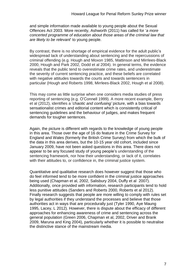and simple information made available to young people about the Sexual Offences Act 2003. More recently, Ashworth (2011) has called for '*a more concerted programme of education about those areas of the criminal law that are likely to be relevant*' to young people.

By contrast, there is no shortage of empirical evidence for the adult public's widespread lack of understanding about sentencing and the repercussions of criminal offending (e.g. Hough and Moxon 1985, Mattinson and Mirrlees-Black 2000, Hough and Park 2002, Dodd et al 2004). In general terms, the evidence reveals that the public tend to overestimate crime rates, and underestimate the severity of current sentencing practice, and these beliefs are correlated with negative attitudes towards the courts and towards sentencers in particular (Hough and Roberts 1998, Mirrlees-Black 2002, Hough et al 2008).

This may come as little surprise when one considers media studies of press reporting of sentencing (e.g. O'Connell 1999). A more recent example, Berry et al (2012), identifies a '*chaotic and confusing'* picture, with a bias towards sensationalist crimes and editorial content which is consistently critical of sentencing guidelines and the behaviour of judges, and makes frequent demands for tougher sentences.

Again, the picture is different with regards to the knowledge of young people in this area. Those over the age of 16 do feature in the Crime Survey for England and Wales (formerly the British Crime Survey) from which the bulk of the data in this area derives, but the 10-15 year old cohort, included since January 2009, have not been asked questions in this area. There does not appear to be any focused study of young people's understanding of the sentencing framework, nor how their understanding, or lack of it, correlates with their attitudes to, or confidence in, the criminal justice system.

Quantitative and qualitative research does however suggest that those who do feel informed tend to be more confident in the criminal justice approaches being used (Chapman et al, 2002, Salisbury 2004, Duffy et al 2007). Additionally, once provided with information, research participants tend to hold less punitive attitudes (Sanders and Roberts 2000, Roberts et al 2012). Finally research suggests that people are more willing to comply with rules set by legal authorities if they understand the processes and believe that those authorities act in ways that are procedurally just (Tyler 1990, Aye Maung 1995, Lacey, L 2012). However, there is dispute about the efficacy of different approaches for enhancing awareness of crime and sentencing across the general population (Green 2006, Chapman et al, 2002, Driver and Brank 2009, Maruna and King 2004), particularly whether it is possible to neutralise the distinctive stance of the mainstream media.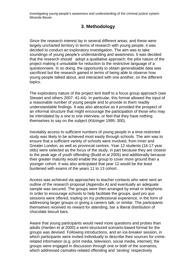# **3. Methodology**

Since the research interest lay in several different areas, and these were largely uncharted territory in terms of research with young people, it was decided to conduct an exploratory investigation. The aim was to take soundings of young people's understanding and awareness. It was decided that the research should adopt a qualitative approach; the pilot nature of the project making it unsuitable for reduction to the restrictive language of a questionnaire. In so doing, the opportunity to obtain generalisable data was sacrificed but the research gained in terms of being able to observe how young people talked about, and interacted with one another, on the different topics.

The exploratory nature of the project lent itself to a focus group approach (see Stewart and others 2007: 41-44). In particular, this format allowed the input of a reasonable number of young people and to provide to them readily understandable findings. It was also attractive as it provided the prospect of an informal structure that might encourage the participation of those who may be intimidated by a one to one interview, or feel that they have nothing themselves to say on the subject (Kitzinger 1995: 300).

Inevitably access to sufficient numbers of young people in a time-restricted study was likely to be achieved most easily through schools. The aim was to ensure that a sufficient variety of schools were involved, from Inner and Greater London, as well as provincial centres. Year 12 students (16-17 year olds) were selected as the focus of the study, in part because they are closest to the peak age of youth offending (Budd et al 2005) and additionally because their greater maturity would enable the group to cover more ground than a younger cohort. It was also anticipated that year 12 would be the least burdened with exams of the years 11 to 13 cohort.

Access was achieved via approaches to teacher contacts who were sent an outline of the research proposal (Appendix A) and eventually an adequate sample was secured. The groups were then arranged by email or telephone. In order to encourage schools to help facilitate the groups, *quid pro quo* sessions were offered, trading on my professional experience, in the form of addressing larger groups or giving a careers talk, or similar. The participants themselves received no reward for attending, bar a liberal distribution of chocolate biscuit bars.

Aware that young participants would need more questions and probes than adults (Harden et al 2000) a semi-structured scenario-based format for the groups was devised. Following introductions, and an ice-breaker session, in which participants were invited individually to describe their sources for crimerelated information (e.g. print media, television, social media, internet); the groups were engaged in discussion through one or both of the scenarios, which addressed cannabis-related offending and 'sexting' respectively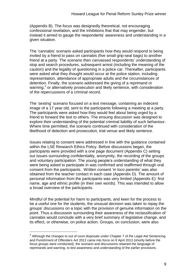(Appendix B). The focus was designedly theoretical, not encouraging confessional revelation, and the inhibitions that that may engender, but instead it aimed to gauge the respondents' awareness and understanding in a given situation.

The 'cannabis' scenario asked participants how they would respond to being invited by a friend to pass on cannabis (five small grip-seal bags) to another friend at a party. The scenario then canvassed respondents' understanding of stop and search procedures, subsequent arrest (including the meaning of the caution) and the legality of questioning in a police car. Thereafter, participants were asked what they thought would occur at the police station, including representation, attendance of appropriate adults and the circumstances of detention. Finally, the scenario addressed the giving of a reprimand or warning,<sup>1</sup> or alternatively prosecution and likely sentence, with consideration of the repercussions of a criminal record.

The 'sexting' scenario focused on a text message, containing an indecent image of a 17 year old, sent to the participants following a meeting at a party. The participants were asked how they would feel about being urged by a friend to forward the text to others. The ensuing discussion was designed to explore their understanding of the potential criminal liability of such behaviour. Where time permitted, the scenario continued with consideration of the likelihood of detection and prosecution, trial venue and likely sentence.

Issues relating to consent were addressed in line with the guidance contained within the LSE Research Ethics Policy. Before discussions began, the participants were provided with a one page document (Appendix C) setting out issues surrounding confidentiality, anonymity, the recording of the groups and voluntary participation. The young people's understanding of what they were being asked to participate in was confirmed and reaffirmed through oral consent from the participants. Written consent 'in loco parentis' was also obtained from the teacher contact in each case (Appendix D). The amount of personal information from the participants was very limited (Appendix E): first name, age and ethnic profile (in their own words). This was intended to allow a broad overview of the participants.

Mindful of the potential for harm to participants, and keen for the process to be a useful one for the students, the unusual decision was taken to repay the groups' discussions on a topic with the provision of genuine information on the point. Thus a discussion surrounding their awareness of the reclassification of cannabis would conclude with a very brief summary of legislative change, and its effect, or otherwise, on police action. Groups, on conclusion, were also

 $\overline{a}$ 

 $1$  Although the changes to out of court disposals under Chapter 7 of the Legal Aid Sentencing and Punishment of Offenders Act 2012 came into force on 8 April 2013 (shortly before the focus groups were conducted), the scenario and discussions retained the language of reprimands and warning, to test awareness and understanding of the earlier provisions.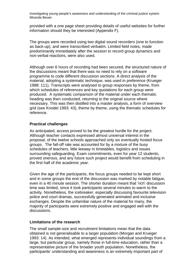provided with a one page sheet providing details of useful websites for further information should they be interested (Appendix F).

The groups were recorded using two digital sound recorders (one to function as back-up), and were transcribed verbatim. Limited field notes, made predominantly immediately after the session to record group dynamics and non-verbal reactions, were also used.

Although over 6 hours of recording had been secured, the structured nature of the discussions meant that there was no need to rely on a software programme to code different discussion sections. A direct analysis of the material, adopting a systematic technique, was used in preference (Krueger 1988: 111). Transcripts were analysed to group responses by theme, from which schedules of references and key quotations for each group were produced. A systematic comparison of the material under each thematic heading was then conducted, returning to the original source where necessary. This was then distilled into a master analysis, a form of overview grid (see Knodel 1993: 43), theme by theme, using the thematic schedules for reference.

#### **Practical challenges**

As anticipated, access proved to be the greatest hurdle for the project. Although teacher contacts expressed almost universal interest in the proposal, of the twelve schools approached only six eventually hosted focus groups. The fall-off rate was accounted for by a mixture of the busy schedules of teachers, little leeway in timetables, logistics and issues surrounding safeguarding. Exam commitments, even for year 12 students, proved onerous, and any future such project would benefit from scheduling in the first half of the academic year.

Given the age of the participants, the focus groups needed to be kept short and in some groups the end of the discussion was marked by notable fatigue, even in a 40 minute session. The shorter duration meant that 'rich' discussion time was limited, since it took participants several minutes to warm to the activity. Nonetheless, the icebreaker, especially discussing favourite television police and court dramas, successfully generated animated and inclusive exchanges. Despite the unfamiliar nature of the material for many, the majority of participants were extremely positive and engaged well with the discussions.

#### **Limitations of the research**

The small sample-size and recruitment limitations mean that the data obtained is not generalisable to a larger population (Morgan and Krueger 1993: 14). As intended, what emerged represents individual soundings from a large, but particular group, namely those in full-time education, rather than a representative picture of the broader youth population. Nonetheless, the participants' understanding and awareness is an extremely important part of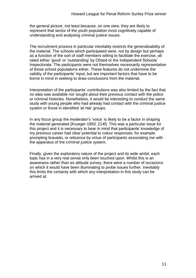the general picture, not least because, on one view, they are likely to represent that sector of the youth population most cognitively capable of understanding and analysing criminal justice issues.

The recruitment process in particular inevitably restricts the generalisability of the material. The schools which participated were, not by design but perhaps as a function of the sort of staff members willing to facilitate the exercise, all rated either 'good' or 'outstanding' by Ofsted or the Independent Schools' Inspectorate. The participants were not themselves necessarily representative of those school populations either. These features do not undermine the validity of the participants' input, but are important factors that have to be borne in mind in seeking to draw conclusions from the material.

Interpretation of the participants' contributions was also limited by the fact that no data was available nor sought about their previous contact with the police or criminal histories. Nonetheless, it would be interesting to conduct the same study with young people who had already had contact with the criminal justice system or those in identified 'at risk' groups.

In any focus group the moderator's 'voice' is likely to be a factor in shaping the material generated (Krueger 1993: 214f). This was a particular issue for this project and it is necessary to bear in mind that participants' knowledge of my previous career had clear potential to colour responses, for example prompting bravado, or reticence by virtue of participants associating me with the apparatus of the criminal justice system.

Finally, given the exploratory nature of the project and its wide ambit, each topic has in a very real sense only been touched upon. Whilst this is an awareness rather than an attitude survey, there were a number of occasions on which it would have been illuminating to probe issues further. Inevitably this limits the certainty with which any interpretation in this study can be arrived at.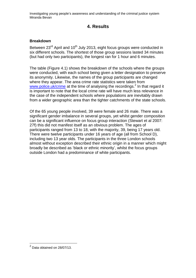# **4. Results**

## **Breakdown**

Between 23<sup>rd</sup> April and 10<sup>th</sup> July 2013, eight focus groups were conducted in six different schools. The shortest of those group sessions lasted 34 minutes (but had only two participants), the longest ran for 1 hour and 6 minutes.

The table (Figure 4.1) shows the breakdown of the schools where the groups were conducted, with each school being given a letter designation to preserve its anonymity. Likewise, the names of the group participants are changed where they appear. The area crime rate statistics were taken from [www.police.uk/crime](http://www.police.uk/crime) at the time of analysing the recordings.<sup>2</sup> In that regard it is important to note that the local crime rate will have much less relevance in the case of the independent schools where populations are inevitably drawn from a wider geographic area than the tighter catchments of the state schools.

Of the 65 young people involved, 39 were female and 26 male. There was a significant gender imbalance in several groups, yet whilst gender composition can be a significant influence on focus group interaction (Stewart et al 2007: 27f) this did not manifest itself as an obvious problem. The ages of participants ranged from 13 to 18, with the majority, 39, being 17 years old. There were twelve participants under 16 years of age (all from School D), including two 13 year olds. The participants in the three London schools almost without exception described their ethnic origin in a manner which might broadly be described as 'black or ethnic minority', whilst the focus groups outside London had a predominance of white participants.

 $\overline{a}$ 

 $^2$  Data obtained on 28/07/13.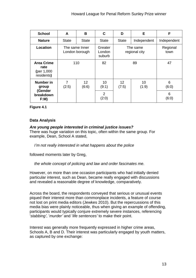| <b>School</b>                                                | A                                | B                        | C                                      | D                          | E           | F                        |
|--------------------------------------------------------------|----------------------------------|--------------------------|----------------------------------------|----------------------------|-------------|--------------------------|
| <b>Nature</b>                                                | <b>State</b>                     | <b>State</b>             | <b>State</b>                           | <b>State</b>               | Independent | Independent              |
| Location                                                     | The same Inner<br>London borough |                          | Greater<br>London<br>suburb            | The same<br>regional city  |             | Regional<br>town         |
| <b>Area Crime</b><br>rate<br>(per $1,000$<br>residents)      | 110                              |                          | 82                                     | 89                         |             | 47                       |
| <b>Number in</b><br>group<br>(Gender<br>breakdown<br>$F:M$ ) | 7<br>(2:5)                       | 12 <sup>2</sup><br>(6:6) | 10<br>(9:1)<br>$\overline{2}$<br>(2:0) | $12 \overline{ }$<br>(7:5) | 10<br>(1:9) | 6<br>(6:0)<br>6<br>(6:0) |

**Figure 4.1**

## **Data Analysis**

*Are young people interested in criminal justice issues?* There was huge variation on this topic, often within the same group. For example, Dean, School A stated,

*I'm not really interested in what happens about the police*

followed moments later by Greg,

*the whole concept of policing and law and order fascinates me.*

However, on more than one occasion participants who had initially denied particular interest, such as Dean, became really engaged with discussions and revealed a reasonable degree of knowledge, comparatively.

Across the board, the respondents conveyed that serious or unusual events piqued their interest more than commonplace incidents, a feature of course not lost on print media editors (Jewkes 2010). But the repercussions of this media bias were plainly noticeable, thus when giving an example of offending, participants would typically conjure extremely severe instances, referencing '*stabbing'*, '*murder'* and '*life sentences'* to make their point.

Interest was generally more frequently expressed in higher crime areas, Schools A, B and D. Their interest was particularly engaged by youth matters, as captured by one exchange: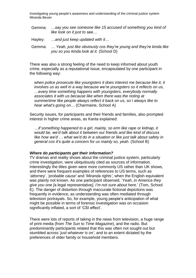- Gemma: *…say you see someone like 15 accused of something you kind of like look on it just to see…*
- Hayley: *…and just keep updated with it…*
- Gemma: *… Yeah, just like obviously cos they're young and they're kinda like you so you kinda look at it.* (School D)

There was also a strong feeling of the need to keep informed about youth crime, especially as a reputational issue, encapsulated by one participant in the following way:

*when police prosecute like youngsters it does interest me because like it, it involves us as well in a way because we're youngsters so it reflects on us, …every time something happens with youngsters, everybody normally associates it with us because like when there was the rioting at summertime like people always reflect it back on us, so I always like to hear what's going on…* (Charmaine, School A)

Security issues, for participants and their friends and families, also prompted interest in higher crime areas, as Kanta explained:

*…if something happened to a girl, mainly, so erm like rape or kidnap, it would be, we'd talk about it between our friends and like kind of discuss like how we'd … what we'd do in a situation or like just talk about safety in general cos it's quite a concern for us mainly so, yeah.* (School B)

#### *Where do participants get their information?*

TV dramas and reality shows about the criminal justice system, particularly crime investigation, were ubiquitously cited as sources of information. Interestingly the titles given were more commonly US rather than UK shows, and there were frequent examples of references to US terms, such as '*attorne*y', '*probable cause'* and '*Miranda rights'*, when the English equivalent was plainly not known. As one participant observed, '*Yeah, in America they give you one [*a legal representative*], I'm not sure about here*.' (Tom, School E). The danger of distortion through inaccurate fictional depictions was frequently in evidence, as understanding was often mediated through television portrayals. So, for example, young people's anticipation of what might be possible in terms of forensic investigation was on occasion significantly inflated, a sort of 'CSI effect'.

There were lots of reports of taking in the news from television, a huge range of print media (from *The Sun* to *Time Magazine*), and the radio. But predominantly participants related that this was often not sought out but stumbled across '*just whatever is on'*, and to an extent dictated by the preferences of older family or household members.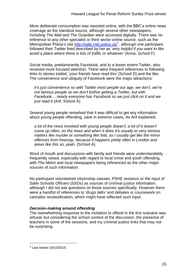More deliberate consumption was reported online, with the BBC's online news coverage as the standout source, although several other newspapers, including *The Mail* and *The Guardian* were accessed digitally. There was no reference to any other specialist or third sector online source, such as the Metropolitan Police's site <u><http://safe.met.police.uk/>3,</u> although one participant followed their Twitter feed described by her as '*very helpful if you want to like avoid a place where there is lots of traffic or whatever'* (Anna, School F).

Social media, predominantly Facebook, and to a lesser extent Twitter, also received more focused attention. There were frequent references to following links to stories trailed, '*your friends have read this'* (School D) and the like. The convenience and ubiquity of Facebook were the major attractions:

*it's just convenience so with Twitter most people our age, we don't, we're not famous people so we don't bother getting a Twitter, but with Facebook… nearly everyone has Facebook so we just click on it and we just read it* (Arif, School A).

Several young people remarked that it was difficult to get any information about young people offending, save in extreme cases. As Arif explained:

*a lot of the news involved with young people doesn't, a lot of it doesn't come up often, on the news and when it does it's usually er very serious matters like murder or something like that, so I usually get like the minor offences from hearsay, because it happens pretty often in London and areas like this so, yeah.* (School A).

Word of mouth and discussions with family and friends were understandably frequently raised, especially with regard to local crime and youth offending, with *The Metro* and local newspapers being referenced as the other major sources of such information.

No participant volunteered citizenship classes, PSHE sessions or the input of Safer Schools Officers (SSOs) as sources of criminal justice information, although I did not ask questions on those sources specifically. However there were a handful of references to *'drugs talks'* and debates or coursework on cannabis reclassification, which might have reflected such input.

## *Decision-making around offending*

The overwhelming response to the invitation to offend in the first scenario was refusal, but considering the school context of the discussion, the presence of teachers in some of the sessions, and my criminal justice links that may not be surprising.

 $\overline{a}$ 

<sup>3</sup> Last visited 18/10/2015.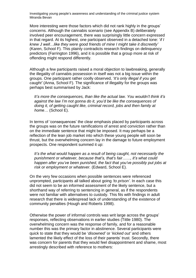More interesting were those factors which did not rank highly in the groups' concerns. Although the cannabis scenario (see Appendix B) deliberately involved peer encouragement, there was surprisingly little concern expressed in that regard. At its highest, one participant observed in a detached tone: '*if I knew J well…like they were good friends of mine I might take it discreetly'* (Karen, School F). This plainly contradicts research findings on delinquency predictors (Farrington 1996), and it is possible that a group more at risk of offending might respond differently.

Although a few participants raised a moral objection to lawbreaking, generally the illegality of cannabis possession in itself was not a big issue within the groups. One participant rather coolly observed, '*It's only illegal if you get caught'* (Anna, School F). The significance of illegality for the groups was perhaps best summarised by Jack:

*It's more the consequences, than like the actual law. You wouldn't think it's against the law I'm not gonna do it, you'd be like the consequences of doing it, of getting caught like, criminal record, jobs and then family at home…* (School E).

In terms of 'consequences' the clear emphasis placed by participants across the groups was on the future ramifications of arrest and conviction rather than on the immediate sentence that might be imposed. It may perhaps be a reflection of the lean job market into which these young people will soon be thrust, but the overwhelming concern lay in the damage to future employment prospects. One respondent summed it up:

*It's the what would happen as a result of being caught, not necessarily the punishment or whatever, because that's, that's fair……, it's what could happen after you've been punished, the fact that you've possibly put jobs at risk or employment or whatever.* (Edward, School E).

On the very few occasions when possible sentences were referenced unprompted, participants all talked about going *'to prison'*. In each case this did not seem to be an informed assessment of the likely sentence, but a shorthand way of referring to sentencing in general, as if the respondents were not familiar with alternatives to custody. This fits with findings in adult research that there is widespread lack of understanding of the existence of community penalties (Hough and Roberts 1998).

Otherwise the power of informal controls was writ large across the groups' responses, reflecting observations in earlier studies (Tittle 1980). The overwhelming concern was the response of family, and for a reasonable number this was the primary factor in abstinence. Several participants were quick to state that they would be '*disowned'* or '*kicked out'* and others lamented the likely effect of the loss of their parents' trust. Secondly, there was concern for parents that they would feel disappointment and shame, most arrestingly described with reference to mothers: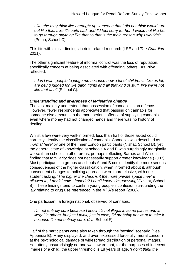*Like she may think like I brought up someone that I did not think would turn out like this. Like it's quite sad, and I'd feel sorry for her, I would not like her to go through anything like that so that is the main reason why I wouldn't…* (Pema, School C).

This fits with similar findings in riots-related research (LSE and *The Guardian* 2011).

The other significant feature of informal control was the loss of reputation, specifically concern at being associated with offending 'others'. As Priya reflected,

*I don't want people to judge me because now a lot of children… like us lot, are being judged for like gang fights and all that kind of stuff, like we're not like that at all* (School C).

#### *Understanding and awareness of legislative change*

The vast majority understood that possession of cannabis is an offence. However, fewer respondents appreciated that passing on cannabis for someone else amounts to the more serious offence of supplying cannabis, even where money had not changed hands and there was no history of dealing.

Whilst a few were very well-informed, less than half of those asked could correctly identify the classification of cannabis. Cannabis was described as '*normal here'* by one of the Inner London participants (Nishat, School B), yet the general state of knowledge at schools A and B was surprisingly marginally worse than schools in other areas, perhaps reflecting Barnes and Wilson's finding that familiarity does not necessarily support greater knowledge (2007). Most participants in groups at schools A and B could identify the more serious consequences of the higher classification, when informed about it, although consequent changes to policing approach were more elusive, with one student asking, '*The higher the class is it the more private space they're allowed to, I don't know…impede? I don't know. I'm guessing'* (Nishat, School B). These findings tend to confirm young people's confusion surrounding the law relating to drug use referenced in the MPA's report (2008).

One participant, a foreign national, observed of cannabis,

*I'm not entirely sure because I know it's not illegal in some places and is illegal in others, but just I think, just in case, I'd probably not want to take it because I'm not entirely sure.* (Jia, School F).

Half of the participants were also taken through the 'sexting' scenario (See Appendix B). Many displayed, and even expressed forcefully, moral concern at the psychological damage of widespread distribution of personal images. Yet utterly unsurprisingly no-one was aware that, for the purposes of indecent images of a child, the upper threshold is 18 years of age. '*I don't think the*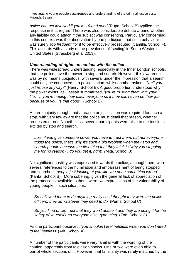*police can get involved if you're 16 and over'* (Rupa, School B) typified the response in that regard. There was also considerable debate around whether any liability could attach if the subject was consenting. Particularly concerning, in this context, was the observation by one participant that such behaviour was surely '*too frequent'* for it to be effectively prosecuted (Camilla, School F). This accords with a study of the prevalence of 'sexting' in South Western United States (Strassberg et al 2013).

#### *Understanding of rights on contact with the police*

There was widespread understanding, especially in the Inner London schools, that the police have the power to stop and search. However, this awareness was by no means ubiquitous, with several under the impression that a search could only be conducted at a police station, whilst another asked, '*Can't you just refuse anyway?'* (Henry, School E). A good proportion understood why the power exists, as Hassan summarized, '*you're trusting them with your life……you're hoping they catch everyone so if they can't even do their job because of you, is that good?'* (School B).

A bare majority thought that a reason or justification was required for such a stop, with very few aware that the police must detail that reason, whether requested or not. Nonetheless, several participants were alive to the tensions excited by stop and search,

*Like, if you give someone power you have to trust them, but not everyone trusts the police, that's why it's such a big problem when they stop and search people because the first thing that they think is 'why you stopping me for no reason?', do you get it, right? (*Mita, School B).

No significant hostility was expressed towards the police, although there were several references to the humiliation and embarrassment of being stopped and searched, '*people just looking at you like you done something wrong'* (Kanta, School B). More sobering, given the general lack of appreciation of the protections available to them, were two expressions of the vulnerability of young people in such situations:

*So I allowed them to do anything really cos I thought they were the police officers, they do whatever they need to do.* (Pema, School C)

*So you kind of like trust that they won't abuse it and they are doing it for the safety of yourself and everyone else, type thing.* (Zoe, School C)

As one participant observed, '*you shouldn't feel helpless when you don't need to feel helpless'* (Arif, School A).

A number of the participants were very familiar with the wording of the caution, apparently from television shows. One or two were even able to parrot whole sections of it. However, that familiarity was rarely matched by the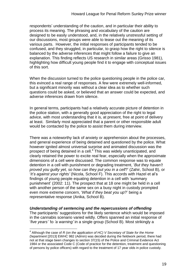respondents' understanding of the caution, and in particular their ability to process its meaning. The phrasing and vocabulary of the caution are designed to be easily understood, and, in the relatively unstressful setting of our discussions, most groups were able to tease out the meaning of its various parts. However, the initial responses of participants tended to be confused, and they struggled, in particular, to grasp how the right to silence is balanced by the adverse inferences that might follow a failure to give an explanation. This finding reflects US research in similar areas (Grisso 1981), highlighting how difficult young people find it to engage with conceptual issues of this sort.

When the discussion turned to the police questioning people in the police car, this evinced a real range of responses. A few were extremely well-informed, but a significant minority was without a clear idea as to whether such questions could be asked, or believed that an answer could be expected, and adverse inferences drawn from silence.

In general terms, participants had a relatively accurate picture of detention in the police station, with a generally good appreciation of the right to legal advice, with most understanding that it is, at present, free at point of delivery at least. Similarly most appreciated that a parent or other responsible adult would be contacted by the police to assist them during interview.

There was a noteworthy lack of anxiety or apprehension about the processes, and general experience of being detained and questioned by the police. What however ignited almost universal surprise and animated discussion was the prospect of being detained in a cell.<sup>4</sup> This was widely unanticipated, and clearly retained the power to excite real fear, especially when the approximate dimensions of a cell were discussed. The common response was to equate detention in a cell with punishment or degrading treatment, '*But they haven't proved you guilty yet, so how can they put you in a cell*?' (Zahir, School B), or '*It's against your rights'* (Nicola, School F). This accords with Hazel et al's findings of young people equating detention in a cell with 'summary punishment' (2002: 11). The prospect that at 18 one might be held in a cell with another person of the same sex on a busy night in custody prompted even more extreme concern, '*What if they beat you up*?' being a representative response (Anika, School B).

#### *Understanding of sentencing and the repercussions of offending*

 $\overline{a}$ 

The participants' suggestions for the likely sentence which would be imposed in the cannabis scenario varied wildly. Offers spanned an initial response of '*five years' '*to *'a warning'* in a single group (School B). Most strikingly a

<sup>4</sup> Although the case of *R (on the application of HC) V Secretary of State for the Home Department* [2013] EWHC 982 (Admin) was decided during the fieldwork period, there had not at that stage been changes to section 37(15) of the Police and Criminal Evidence Act 1984 or the associated Code C (Code of practice for the detention, treatment and questioning of persons by police officers) with regard to the treatment of 17 year olds in police custody.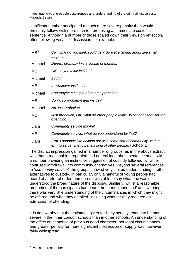significant number anticipated a much more severe penalty than would ordinarily follow, with more than ten proposing an immediate custodial sentence. Although a number of those scaled down their views on reflection, often following very little discussion, for example:

| MB <sup>5</sup> | OK, what do you think you'd get? So we're talking about five small<br>bags                                                            |
|-----------------|---------------------------------------------------------------------------------------------------------------------------------------|
| Michael         | Dunno, probably like a couple of months.                                                                                              |
| MВ              | OK, so you think inside?                                                                                                              |
| Michael         | Mhmm                                                                                                                                  |
| MВ              | In whatever institution.                                                                                                              |
| Michael         | And maybe a couple of months probation.                                                                                               |
| MВ              | Sorry, so probation and inside?                                                                                                       |
| Michael         | No, just probation.                                                                                                                   |
| MВ              | Just probation, OK, what do other people think? What does that sort of<br>offending                                                   |
| Liam            | Community service maybe?                                                                                                              |
| MВ              | Community service, what do you understand by that?                                                                                    |
| Liam            | Erm, I suppose like helping out with some sort of community work to<br>erm to serve time to benefit kind of other people. (School E). |

The distinct impression gained in a number of groups, as in the above extract, was that a reasonable proportion had no real idea about sentence at all, with a number providing an instinctive suggestion of custody followed by rather confused withdrawal into community alternatives. Beyond several references to '*community service'*, the groups showed very limited understanding of other alternatives to custody. In particular, only a handful of young people had heard of a referral order, and no-one was able to say what one was or understood the broad nature of the disposal. Similarly, whilst a reasonable proportion of the participants had heard the terms 'reprimand' and 'warning', there was very little understanding of the circumstances in which they might be offered and what they entailed, including whether they required an admission of offending.

It is noteworthy that the estimates given for likely penalty tended to be more severe in the Inner London schools than in other schools. An understanding of the effect on sentence of previous good character, personal circumstances and greater penalty for more significant possession or supply was, however, fairly widespread.

 $\overline{a}$ 

MB is the researcher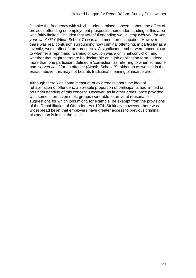Despite the frequency with which students raised concerns about the effect of previous offending on employment prospects, their understanding of this area was fairly limited. The idea that youthful offending would '*stay with you for like your whole life'* (Nina, School C) was a common preoccupation. However, there was real confusion surrounding how criminal offending, in particular as a juvenile, would affect future prospects. A significant number were uncertain as to whether a reprimand, warning or caution was a criminal conviction and whether that might therefore be declarable on a job application form. Indeed more than one participant defined a 'conviction' as referring to when someone had '*served time'* for an offence (Akash, School B), although as we see in the extract above, this may not bear its traditional meaning of incarceration.

Although there was some measure of awareness about the idea of rehabilitation of offenders, a sizeable proportion of participants had limited or no understanding of this concept. However, as in other areas, once provided with some information most groups were able to arrive at reasonable suggestions for which jobs might, for example, be exempt from the provisions of the Rehabilitation of Offenders Act 1974. Strikingly, however, there was widespread belief that employers have greater access to previous criminal history than is in fact the case.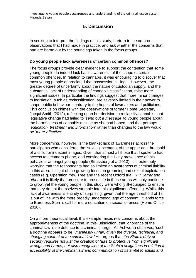# **5. Discussion**

In seeking to interpret the findings of this study, I return to the ad hoc observations that I had made in practice, and ask whether the concerns that I had are borne out by the soundings taken in the focus groups.

## **Do young people lack awareness of certain common offences?**

The focus groups provide clear evidence to support the contention that some young people do indeed lack basic awareness of the scope of certain common offences. In relation to cannabis, it was encouraging to discover that most young people appreciated that possession is illegal. However, the greater degree of uncertainty about the nature of custodian supply, and the substantial lack of understanding of cannabis classification, raise more significant issues. In particular the findings suggest that more minor changes to legislation, such as reclassification, are severely limited in their power to shape public behaviour, contrary to the hopes of lawmakers and politicians. This conclusion chimes with the observations of former Home Secretary Jacqui Smith (2012), reflecting upon her decision to reclassify cannabis, that legislative change had failed to '*send out a message'* to young people about the harmfulness of cannabis misuse as she had hoped, and that perhaps '*education, treatment and information'* rather than changes to the law would be '*more effective'*.

More concerning, however, is the blanket lack of awareness across the participants who considered the 'sexting' scenario, of the upper age threshold of a child for indecent images. Given that almost all those that I spoke to had access to a camera phone, and considering the likely prevalence of this behaviour amongst young people (Strassberg et al 2013), it is extremely worrying that the respondents had so limited an awareness of criminal liability in this area. In light of the growing focus on grooming and sexual exploitation cases (e.g. Operation Yew Tree and the recent Oxford trial, *R v Karrar and others*) it is likely that pressure to prosecute in these areas will only continue to grow, yet the young people in this study were wholly ill-equipped to ensure that they do not themselves stumble into this significant offending. Whilst this lack of awareness is entirely unsurprising, given that the age threshold of 18 is out of line with the more broadly understood 'age of consent', it lends force to Baroness Stern's call for more education on sexual offences (Home Office 2010).

On a more theoretical level, this example raises real concerns about the appropriateness of the doctrine, in this jurisdiction, that ignorance of the criminal law is no defence to a criminal charge. As Ashworth observes, 'such a doctrine appears to be, '*manifestly unfair, given the diverse, technical, and changing content of the criminal law.'* He argues that '*the State's duty of security requires not just the creation of laws to protect us from significant wrongs and harms, but also recognition of the State's obligations in relation to accessibility of the criminal law and communication of its ambit to adults and*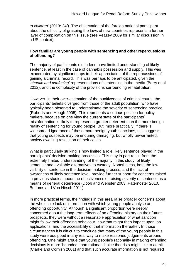*to children'* (2013: 24f). The observation of the foreign national participant about the difficulty of grasping the laws of new countries represents a further layer of complication on this issue (see Veazey 2009 for similar discussion in a US context).

#### **How familiar are young people with sentencing and other repercussions of offending?**

The majority of participants did indeed have limited understanding of likely sentence, at least in the case of cannabis possession and supply. This was exacerbated by significant gaps in their appreciation of the repercussions of gaining a criminal record. This was perhaps to be anticipated, given the '*chaotic and confusing'* representations of sentencing in the media (Berry et al 2012), and the complexity of the provisions surrounding rehabilitation.

However, in their over-estimation of the punitiveness of criminal courts, the participants' beliefs diverged from those of the adult population, who have typically been observed to underestimate the severity of sentencing practice (Roberts and Hough 2005). This represents a curious position for policy makers, because on one view the current state of the participants' misinformation is likely to represent a greater deterrent than the more benign reality of sentencing for young people. But, more practically, if there is widespread ignorance of those more benign youth sanctions, this suggests that young suspects may be enduring damaging, but wholly unwarranted, anxiety awaiting resolution of their cases.

What is particularly striking is how limited a role likely sentence played in the participants' decision-making processes. This may in part result from the extremely limited understanding, of the majority in this study, of likely sentence and available alternatives to custody. Nonetheless, both the low visibility of sentence in the decision-making process, and the lack of awareness of likely sentence level, provide further support for concerns raised in previous studies about the effectiveness of raising severity of sentence as a means of general deterrence (Doob and Webster 2003, Paternoster 2010, Bottoms and Von Hirsch 2011).

In more practical terms, the findings in this area raise broader concerns about the wholesale lack of information with which young people analyse an offending opportunity. Although a significant proportion were deeply concerned about the long-term effects of an offending history on their future prospects, they were without a reasonable appreciation of what sanction might follow their offending behaviour, how that might then impact upon job applications, and the accessibility of that information thereafter. In those circumstances it is difficult to conclude that many of the young people in this study were equipped in any real way to make reasoned judgements around offending. One might argue that young people's rationality in making offending decisions is more 'bounded' than rational choice theorists might like to admit (Clarke and Cornish 2001) and that such accurate information is not required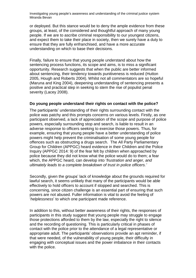or deployed. But this stance would be to deny the ample evidence from these groups, at least, of the considered and thoughtful approach of many young people. If we are to ascribe criminal responsibility to our youngest citizens, and expect them to take their place in society, then we surely have a duty to ensure that they are fully enfranchised, and have a more accurate understanding on which to base their decisions.

Finally, failure to ensure that young people understand about how the sentencing process functions, its scope and aims, is to miss a significant opportunity. Research suggests that when the public are better informed about sentencing, their tendency towards punitiveness is reduced (Hutton 2005, Hough and Roberts 2004). Whilst not all commentators are so hopeful (Maruna and King 2004), deepening understanding of sentencing presents a positive and practical step in seeking to stem the rise of populist penal severity (Lacey 2008).

#### **Do young people understand their rights on contact with the police?**

The participants' understanding of their rights surrounding contact with the police was patchy and this prompts concerns on various levels. Firstly, as one participant observed, a lack of appreciation of the scope and purpose of police powers, especially surrounding stop and search, is liable to result in an adverse response to officers seeking to exercise those powers. Thus, for example, ensuring that young people have a better understanding of police powers might help prevent the criminalisation of some young people for offences such as obstructing a drugs search. The All Party Parliamentary Group for Children (APPGC) heard evidence in their Children and the Police Inquiry (APPGC 2014: 9) of the fear felt by children when approached by police because they did not know what the police would do to them; a fear which, the APPGC heard, can develop into '*frustration and anger, and ultimately leads to a complete breakdown of trust in police officers.'*

Secondly, given the groups' lack of knowledge about the grounds required for lawful search, it seems unlikely that many of the participants would be able effectively to hold officers to account if stopped and searched. This is concerning, since citizen challenge is an essential part of ensuring that such powers are not abused. Fuller information is vital to avoid the feeling of '*helplessness*' to which one participant made reference.

In addition to this, without better awareness of their rights, the responses of participants in this study suggest that young people may struggle to engage those protections afforded to them by the law, especially the right to silence and the recording of questioning. This is particularly critical in phases of contact with the police prior to the attendance of a legal representative or appropriate adult. The participants' observations provide an apt reminder, if that were needed, of the vulnerability of young people, their difficulty in engaging with conceptual issues and the power imbalance in their contacts with the police.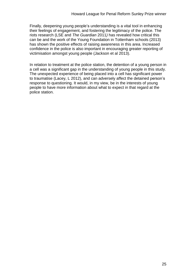Finally, deepening young people's understanding is a vital tool in enhancing their feelings of engagement, and fostering the legitimacy of the police. The riots research (LSE and *The Guardian* 2011*)* has revealed how critical this can be and the work of the Young Foundation in Tottenham schools (2013) has shown the positive effects of raising awareness in this area. Increased confidence in the police is also important in encouraging greater reporting of victimisation amongst young people (Jackson et al 2013).

In relation to treatment at the police station, the detention of a young person in a cell was a significant gap in the understanding of young people in this study. The unexpected experience of being placed into a cell has significant power to traumatise (Lacey, L 2012), and can adversely affect the detained person's response to questioning. It would, in my view, be in the interests of young people to have more information about what to expect in that regard at the police station.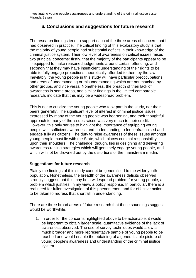# **6. Conclusions and suggestions for future research**

The research findings tend to support each of the three areas of concern that I had observed in practice. The critical finding of this exploratory study is that the majority of young people had substantial deficits in their knowledge of the criminal justice system. Their low level of awareness on critical issues raises two principal concerns: firstly, that the majority of the participants appear to be ill-equipped to make reasoned judgements around certain offending, and secondly that they may have insufficient understanding of their rights to be able to fully engage protections theoretically afforded to them by the law. Inevitably, the young people in this study will have particular preoccupations and areas of understanding or misunderstanding which are not matched by other groups, and vice versa. Nonetheless, the breadth of their lack of awareness in some areas, and similar findings in the limited comparable research, indicate that this may be a widespread problem.

This is not to criticize the young people who took part in the study, nor their peers generally. The significant level of interest in criminal justice issues expressed by many of the young people was heartening, and their thoughtful approach to many of the issues raised was very much to their credit. However, this only serves to highlight the importance of equipping young people with sufficient awareness and understanding to feel enfranchised and engage fully as citizens. The duty to raise awareness of these issues amongst young people must lie with the State, which places criminal responsibility upon their shoulders. The challenge, though, lies in designing and delivering awareness-raising strategies which will genuinely engage young people, and which will not be drowned out by the distortions of the mainstream media.

## **Suggestions for future research**

Plainly the findings of this study cannot be generalised to the wider youth population. Nonetheless, the breadth of the awareness deficits observed strongly suggest that this may be a widespread problem for young people; a problem which justifies, in my view, a policy response. In particular, there is a real need for fuller investigation of this phenomenon, and for effective action to be taken to redress that shortfall in understanding.

There are three broad areas of future research that these soundings suggest would be worthwhile.

1. In order for the concerns highlighted above to be actionable, it would be important to obtain larger scale, quantitative evidence of the lack of awareness observed. The use of survey techniques would allow a much broader and more representative sample of young people to be reached and would enable the obtaining of a generalisable picture of young people's awareness and understanding of the criminal justice system.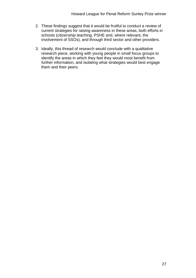- 2. These findings suggest that it would be fruitful to conduct a review of current strategies for raising awareness in these areas, both efforts in schools (citizenship teaching, PSHE and, where relevant, the involvement of SSOs), and through third sector and other providers.
- 3. Ideally, this thread of research would conclude with a qualitative research piece, working with young people in small focus groups to identify the areas in which they feel they would most benefit from further information, and isolating what strategies would best engage them and their peers.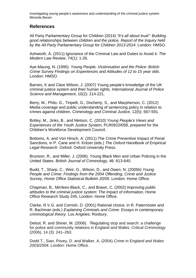# **References**

All Party Parliamentary Group for Children (2014) *"It's all about trust": Building good relationships between children and the police, Report of the Inquiry held by the All Party Parliamentary Group for Children 2013-2014*. London: HMSO.

Ashworth, A. (2011) Ignorance of the Criminal Law and Duties to Avoid it. *The Modern Law Review*, 74(1): 1-26.

Aye-Maung, N. (1995). *Young People, Victimisation and the Police: British Crime Survey Findings on Experiences and Attitudes of 12 to 15 year olds*. London: HMSO.

Barnes, K and Clare Wilson, J. (2007) Young people's knowledge of the UK criminal justice system and their human rights. *International Journal of Police Science and Management*, 10(2): 214-221.

Berry, M., Philo, G., Tiripelli, G., Docherty, S., and Macpherson, C. (2012) Media coverage and public understanding of sentencing policy in relation to crimes against children. *Criminology and Criminal Justice*, 12(5): 567-591.

Botley, M., Jinks, B., and Metson, C. (2010) *Young People's Views and Experiences of the Youth Justice System*, PLR0910/058, prepared for the Children's Workforce Development Council.

Bottoms, A. and Von Hirsch, A. (2011) The Crime Preventive Impact of Penal Sanctions, in P. Cane and H. Kritzer (eds.) *The Oxford Handbook of Empirical Legal Research*. Oxford: Oxford University Press.

Brunson, R., and Miller, J. (2006). Young Black Men and Urban Policing in the United States. *British Journal of Criminology*, 46: 613-640.

Budd, T., Sharp, C., Weir, G., Wilson, D., and Owen, N. (2005b) *Young People and Crime: Findings from the 2004 Offending, Crime and Justice Survey, Home Office Statistical Bulletin 20/05.* London: Home Office.

Chapman, B., Mirrlees-Black, C., and Brawn, C. (2002) *Improving public attitudes to the criminal justice system: The impact of information*, Home Office Research Study 245, London: Home Office.

Clarke, R.V.G. and Cornish, D. (2001) Rational choice, in R. Paternoster and R. Bachman (eds.) *Explaining Criminals and Crime: Essays in contemporary criminological theory*. Los Angeles: Roxbury.

Delsol, R. and Shiner, M. (2006). 'Regulating stop and search: a challenge for police and community relations in England and Wales. *Critical Criminology* (2006), 14 (3): 241–263.

Dodd T., Sian, Povey, D. and Walker, A. (2004) *Crime in England and Wales 2003/2004*. London: Home Office.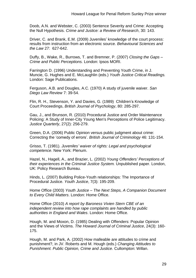Doob, A.N. and Webster, C. (2003) Sentence Severity and Crime: Accepting the Null Hypothesis. *Crime and Justice: a Review of Research*, 30: 143.

Driver, C. and Brank, E.M. (2009) Juveniles' knowledge of the court process: results from instruction from an electronic source. *Behavioural Sciences and the Law* 27: 627-642.

Duffy, B., Wake, R., Burrows, T. and Bremner, P. (2007) *Closing the Gaps – Crime and Public Perceptions.* London: Ipsos MORI.

Farrington D. (1996) Understanding and Preventing Youth Crime, in J. Muncie, G. Hughes and E. McLaughlin (eds.) *Youth Justice Critical Readings.* London: Sage Publications.

Ferguson, A.B. and Dougles, A.C. (1970) A study of juvenile waiver. *San Diego Law Review* 7: 39-54.

Flin, R. H., Stevenson, Y. and Davies, G. (1989) Children's Knowledge of Court Proceedings, *British Journal of Psychology*, 80: 285-297.

Gau, J., and Brunson, R. (2010) Procedural Justice and Order Maintenance Policing: A Study of Inner-City Young Men's Perceptions of Police Legitimacy. *Justice Quarterly*, 27(2): 256-279.

Green, D.A. (2006) Public Opinion versus public judgment about crime: Correcting the 'comedy of errors'. *British Journal of Criminology* 46: 131-154.

Grisso, T. (1981). *Juveniles' waiver of rights: Legal and psychological competence*. New York: Plenum.

Hazel, N., Hagell, A., and Brazier, L. (2002) *Young Offenders' Perceptions of their experiences in the Criminal Justice System.* Unpublished paper. London, UK: Policy Research Bureau.

Hinds, L. (2007) Building Police-Youth relationships: The Importance of Procedural Justice. *Youth Justice*, 7(3): 195-209.

Home Office (2003) *Youth Justice – The Next Steps, A Companion Document to Every Child Matters*. London: Home Office.

Home Office (2010) *A report by Baroness Vivien Stern CBE of an independent review into how rape complaints are handled by public authorities in England and Wales*. London: Home Office.

Hough, M. and Moxon, D. (1985) Dealing with Offenders: Popular Opinion and the Views of Victims. *The Howard Journal of Criminal Justice*, 24(3): 160- 175.

Hough, M. and Park, A. (2002) How malleable are attitudes to crime and punishment?, in JV. Roberts and M. Hough (eds.) *Changing Attitudes to Punishment. Public Opinion, Crime and Justice.* Cullompton: Willan.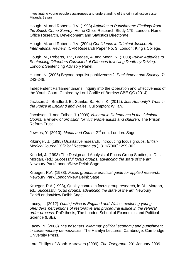Hough, M. and Roberts, J.V. (1998) *Attitudes to Punishment: Findings from the British Crime Survey*. Home Office Research Study 179. London: Home Office Research, Development and Statistics Directorate.

Hough, M. and Roberts, J.V. (2004) *Confidence in Criminal Justice. An International Review.* ICPR Research Paper No. 3. London: King's College.

Hough, M., Roberts, J.V., Bredee, A. and Moon, N. (2008) *Public Attitudes to Sentencing Offenders Convicted of Offences Involving Death by Driving*. London: Sentencing Advisory Panel.

Hutton, N. (2005) Beyond populist punitiveness?, *Punishment and Society*, 7: 243-248.

Independent Parliamentarians' Inquiry into the Operation and Effectiveness of the Youth Court, Chaired by Lord Carlile of Berriew CBE QC (2014).

Jackson, J., Bradford, B., Stanko, B., Hohl, K. (2012). *Just Authority? Trust in the Police in England and Wales*. Cullompton: Willan.

Jacobson, J. and Talbot, J. (2009) *Vulnerable Defendants in the Criminal Courts: a review of provision for vulnerable adults and children*. The Prison Reform Trust.

Jewkes, Y. (2010), *Media and Crime*, 2<sup>nd</sup> edn, London: Sage.

Kitzinger, J. (1995) Qualitative research. Introducing focus groups. *British Medical Journal (Clinical Research ed.),* 311(7000): 299-302.

Knodel, J. (1993) The Design and Analysis of Focus Group Studies, in D.L. Morgan, (ed.) *Successful focus groups, advancing the state of the art.* Newbury Park/London/New Delhi: Sage.

Krueger, R.A. (1988), *Focus groups, a practical guide for applied research.* Newbury Park/London/New Delhi: Sage.

Krueger, R.A (1993), Quality control in focus group research, in DL. Morgan, ed., *Successful focus groups, advancing the state of the art*. Newbury Park/London/New Delhi: Sage.

Lacey, L. (2012) *Youth justice in England and Wales: exploring young offenders' perceptions of restorative and procedural justice in the referral order process.* PhD thesis, The London School of Economics and Political Science (LSE).

Lacey, N. (2008) *The prisoners' dilemma: political economy and punishment in contemporary democracies*, The Hamlyn Lectures. Cambridge: Cambridge University Press.

Lord Phillips of Worth Matravers (2009), *The Telegraph*, 20<sup>th</sup> January 2009.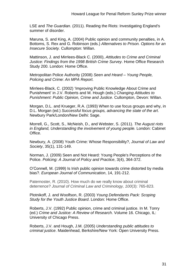LSE and *The Guardian*. (2011). Reading the Riots: Investigating England's summer of disorder.

Maruna, S. and King, A. (2004) Public opinion and community penalties, in A. Bottoms, S. Rex and G. Robinson (eds.) *Alternatives to Prison. Options for an Insecure Society.* Cullompton: Willan.

Mattinson, J. and Mirrlees-Black C. (2000), *Attitudes to Crime and Criminal Justice: Findings from the 1998 British Crime Survey*. Home Office Research Study 200. London: Home Office.

Metropolitan Police Authority (2008) *Seen and Heard – Young People, Policing and Crime: An MPA Report.*

Mirrlees-Black, C. (2002) 'Improving Public Knowledge About Crime and Punishment' in J.V. Roberts and M. Hough (eds.) *Changing Attitudes to Punishment: Public Opinion, Crime and Justice*. Cullompton, Devon: Willan.

Morgan, D.L. and Krueger, R.A. (1993) When to use focus groups and why, in D.L. Morgan (ed.) *Successful focus groups, advancing the state of the art*. Newbury Park/London/New Delhi: Sage.

Morrell, G., Scott, S., McNeish, D., and Webster, S. (2011). *The August riots in England, Understanding the involvement of young people.* London: Cabinet Office.

Newbury, A. (2008) Youth Crime: Whose Responsibility?, *Journal of Law and Society*, 35(1), 131-149.

Norman, J. (2009) Seen and Not Heard: Young People's Perceptions of the Police. *Policing: A Journal of Policy and Practice*, 3(4), 364-372.

O'Connell, M. (1999) Is Irish public opinion towards crime distorted by media bias?. *European Journal of Communication*, 14, 191-212.

Paternoster, R. (2010). How much do we really know about criminal deterrence? *Journal of Criminal Law and Criminology, 100*(3): 765-823.

Plotnikoff, J. and Woolfson, R. (2003) *Young Defendants Pack: Scoping Study for the Youth Justice Board*. London: Home Office.

Roberts, J.V. (1992) Public opinion, crime and criminal justice. In M. Tonry (ed.) *Crime and Justice: A Review of Research*. Volume 16. Chicago, IL: University of Chicago Press.

Roberts, J.V. and Hough, J.M. (2005) *Understanding public attitudes to criminal justice*. Maidenhead, Berkshire/New York: Open University Press.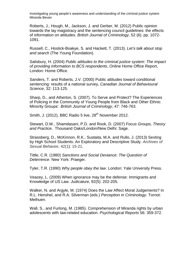Roberts, J., Hough, M., Jackson, J. and Gerber, M. (2012) Public opinion towards the lay magistracy and the sentencing council guidelines: the effects of information on attitudes. *British Journal of Criminology*, 52 (6). pp. 1072- 1091.

Russell, C., Hostick-Boakye, S. and Hackett, T. (2013). *Let's talk about stop and search* (The Young Foundation).

Salisbury, H. (2004) *Public attitudes to the criminal justice system: The impact of providing information to BCS respondents*, Online Home Office Report, London: Home Office.

Sanders, T. and Roberts, J.V. (2000) Public attitudes toward conditional sentencing: results of a national survey, *Canadian Journal of Behavioural Science*, 32: 113-125.

Sharp, D., and Atherton, S. (2007). To Serve and Protect? The Experiences of Policing in the Community of Young People from Black and Other Ethnic Minority Groups'. *British Journal of Criminology*, 47: 746-763.

Smith, J. (2012), BBC Radio 5 live,  $28<sup>th</sup>$  November 2012.

Stewart, D.W., Shamdasani, P.D. and Rook, D. (2007) *Focus Groups, Theory and Practice*, Thousand Oaks/London/New Delhi: Sage.

Strassberg, D., McKinnon, R.K., Sustaita, M.A. and Rullo, J. (2013) Sexting by High School Students: An Exploratory and Descriptive Study. *[Archives](http://link.springer.com.gate2.library.lse.ac.uk/journal/10508) of Sexual [Behavior,](http://link.springer.com.gate2.library.lse.ac.uk/journal/10508)* 4[2\(1\)](http://link.springer.com.gate2.library.lse.ac.uk/journal/10508/42/1/page/1): 15-21.

Tittle, C.R. (1980) *Sanctions and Social Deviance: The Question of Deterrence*. New York: Praeger.

Tyler, T.R. (1990) *Why people obey the law*. London: Yale University Press.

Veazey, L. (2009) When ignorance may be the defense: Immigrants and Knowledge of US Law. *Judicature*, 92(5): 202-205.

Walker, N. and Argyle, M. (1974) Does the Law Affect Moral Judgements? In R.L. Henshel, and R.A. Silverman (eds.) *Perception in Criminology.* Tornot: Methuen.

Wall, S., and Furlong, M. (1985). Comprehension of Miranda rights by urban adolescents with law-related education. *Psychological Reports* 56: 359-372.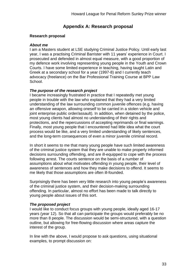# **Appendix A: Research proposal**

## **Research proposal**

## *About me*

I am a Masters student at LSE studying Criminal Justice Policy. Until early last year, I was a practising Criminal Barrister with 11 years' experience in Court. I prosecuted and defended in almost equal measure, with a good proportion of my defence work involving representing young people in the Youth and Crown Courts. I have some limited experience in teaching, having taught Latin and Greek at a secondary school for a year (1997-8) and I currently teach advocacy (freelance) on the Bar Professional Training Course at BPP Law School.

# *The purpose of the research project*

I became increasingly frustrated in practice that I repeatedly met young people in trouble with the law who explained that they had a very limited understanding of the law surrounding common juvenile offences (e.g. having an offensive weapon, allowing oneself to be carried in a stolen vehicle and joint enterprise public order/assault). In addition, when detained by the police, most young clients had almost no understanding of their rights and protections, and the repercussions of accepting reprimands or final warnings. Finally, most young people that I encountered had little idea what the court process would be like, and a very limited understanding of likely sentences, and the long-term consequences of even a minor juvenile criminal record.

In short it seems to me that many young people have such limited awareness of the criminal justice system that they are unable to make properly informed decisions surrounding offending, and are ill-equipped to cope with the process following arrest. The courts sentence on the basis of a number of assumptions about what motivates offending in young people, their level of awareness of sentences and how they make decisions to offend. It seems to me likely that those assumptions are often ill-founded.

Surprisingly there has been very little research into young people's awareness of the criminal justice system, and their decision-making surrounding offending. In particular, almost no effort has been made to talk directly to young people about issues of this sort.

## *The proposed project*

I would like to conduct focus groups with young people, ideally aged 16-17 years (year 12). So that all can participate the groups would preferably be no more than 8 people. The discussion would be semi-structured, with a question outline, but allowing for free-flowing discussion where areas capture the interest of the group.

In line with the above, I would propose to ask questions, using situational examples, to prompt discussion on: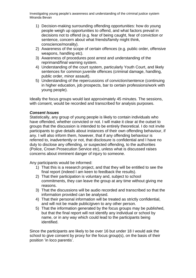- 1) Decision-making surrounding offending opportunities: how do young people weigh up opportunities to offend, and what factors prevail in decisions not to offend (e.g. fear of being caught, fear of conviction or sentence, concern about what friends/family might think, conscience/morality).
- 2) Awareness of the scope of certain offences (e.g. public order, offensive weapons, handling etc).
- 3) Awareness of procedures post arrest and understanding of the reprimand/final warning system.
- 4) Understanding of the court system, particularly Youth Court, and likely sentences for common juvenile offences (criminal damage, handling, public order, minor assault).
- 5) Understanding of the repercussions of conviction/sentence (continuing in higher education, job prospects, bar to certain professions/work with young people).

Ideally the focus groups would last approximately 45 minutes. The sessions, with consent, would be recorded and transcribed for analysis purposes.

#### *Consent Issues*

Statistically, any group of young people is likely to contain individuals who have offended, whether convicted or not. I will make it clear at the outset to groups that the discussion is intended to be entirely theoretical. I do not invite participants to give details about instances of their own offending behaviour, if any. I will also inform them, however, that if any offending behaviour is referred to, inadvertently or not, that disclosure is confidential and I have no duty to disclose any offending, or suspected offending, to the authorities (Police, Crown Prosecution Service etc), unless what is discussed raises concerns about imminent danger of injury to someone.

Any participants would be informed:

- 1) That this is a research project, and that they will be entitled to see the final report (indeed I am keen to feedback the results).
- 2) That their participation is voluntary and, subject to school commitments, they can leave the group at any time without giving me reasons.
- 3) That the discussions will be audio recorded and transcribed so that the information provided can be analysed.
- 4) That their personal information will be treated as strictly confidential, and will not be made public/given to any other person.
- 5) That the information generated by the focus groups may be published, but that the final report will not identify any individual or school by name, or in any way which could lead to the participants being identified.

Since the participants are likely to be over 16 but under 18 I would ask the school to give consent by proxy for the focus group(s), on the basis of their position 'in loco parentis'.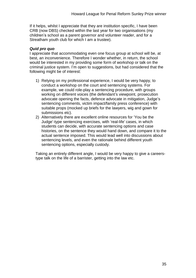If it helps, whilst I appreciate that they are institution specific, I have been CRB (now DBS) checked within the last year for two organisations (my children's school as a parent governor and volunteer reader, and for a Streatham youth club for which I am a trustee).

## *Quid pro quo*

I appreciate that accommodating even one focus group at school will be, at best, an inconvenience. Therefore I wonder whether, in return, the school would be interested in my providing some form of workshop or talk on the criminal justice system. I'm open to suggestions, but had considered that the following might be of interest:

- 1) Relying on my professional experience, I would be very happy, to conduct a workshop on the court and sentencing systems. For example, we could role-play a sentencing procedure, with groups working on different voices (the defendant's viewpoint, prosecution advocate opening the facts, defence advocate in mitigation, Judge's sentencing comments, victim impact/family press conference) with suitable props (mocked up briefs for the lawyers, wig and gown for submissions etc).
- 2) Alternatively there are excellent online resources for 'You be the Judge'-type sentencing exercises, with 'real-life' cases, in which students can decide, with accurate sentencing options and case histories, on the sentence they would hand down, and compare it to the actual sentence imposed. This would lead well into discussions about sentencing levels, and even the rationale behind different youth sentencing options, especially custody.

Taking an entirely different angle, I would be very happy to give a careerstype talk on the life of a barrister, getting into the law etc.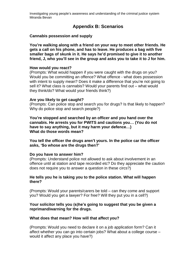# **Appendix B: Scenarios**

#### **Cannabis possession and supply**

**You're walking along with a friend on your way to meet other friends. He gets a call on his phone, and has to leave. He produces a bag with five smaller bags of skunk in it. He says he'd promised to give it to another friend, J, who you'll see in the group and asks you to take it to J for him.**

#### **How would you react?**

(Prompts: What would happen if you were caught with the drugs on you? Would you be committing an offence? What offence - what does possession with intent to supply mean? Does it make a difference that you're not going to sell it? What class is cannabis? Would your parents find out – what would they think/do? What would your friends think?)

#### **Are you likely to get caught?**

(Prompts: Can police stop and search you for drugs? Is that likely to happen? Why do police stop and search people?)

**You're stopped and searched by an officer and you hand over the cannabis. He arrests you for PWITS and cautions you… (You do not have to say anything, but it may harm your defence…) What do those words mean?**

#### **You tell the officer the drugs aren't yours. In the police car the officer asks, 'So whose are the drugs then?'**

#### **Do you have to answer him?**

(Prompts: Understand police not allowed to ask about involvement in an offence until at station and tape recorded etc? Do they appreciate the caution does not require you to answer a question in these circs?)

#### **He tells you he is taking you to the police station. What will happen there?**

(Prompts: Would your parents/carers be told – can they come and support you? Would you get a lawyer? For free? Will they put you in a cell?)

#### **Your solicitor tells you (s)he's going to suggest that you be given a reprimand/warning for the drugs.**

#### **What does that mean? How will that affect you?**

(Prompts: Would you need to declare it on a job application form? Can it affect whether you can go into certain jobs? What about a college course – would it affect any place you have?)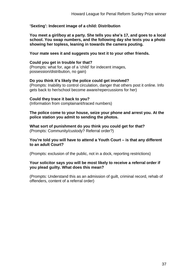## **'Sexting': Indecent image of a child: Distribution**

**You meet a girl/boy at a party. She tells you she's 17, and goes to a local school. You swap numbers, and the following day she texts you a photo showing her topless, leaning in towards the camera pouting.**

**Your mate sees it and suggests you text it to your other friends.**

#### **Could you get in trouble for that?**

(Prompts: what for, age of a 'child' for indecent images, possession/distribution, no gain)

#### **Do you think it's likely the police could get involved?**

(Prompts: Inability to control circulation, danger that others post it online. Info gets back to her/school become aware/repercussions for her)

#### **Could they trace it back to you?**

(Information from complainant/traced numbers)

#### **The police come to your house, seize your phone and arrest you. At the police station you admit to sending the photos.**

**What sort of punishment do you think you could get for that?** (Prompts: Community/custody? Referral order?)

#### **You're told you will have to attend a Youth Court – is that any different to an adult Court?**

(Prompts: exclusion of the public, not in a dock, reporting restrictions)

#### **Your solicitor says you will be most likely to receive a referral order if you plead guilty. What does this mean?**

(Prompts: Understand this as an admission of guilt, criminal record, rehab of offenders, content of a referral order)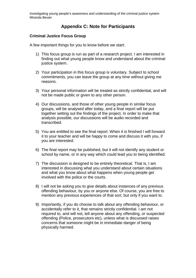# **Appendix C: Note for Participants**

## **Criminal Justice Focus Group**

A few important things for you to know before we start:

- 1) This focus group is run as part of a research project. I am interested in finding out what young people know and understand about the criminal justice system.
- 2) Your participation in this focus group is voluntary. Subject to school commitments, you can leave the group at any time without giving me reasons.
- 3) Your personal information will be treated as strictly confidential, and will not be made public or given to any other person.
- 4) Our discussions, and those of other young people in similar focus groups, will be analysed after today, and a final report will be put together setting out the findings of the project. In order to make that analysis possible, our discussions will be audio recorded and transcribed.
- 5) You are entitled to see the final report. When it is finished I will forward it to your teacher and will be happy to come and discuss it with you, if you are interested.
- 6) The final report may be published, but it will not identify any student or school by name, or in any way which could lead you to being identified.
- 7) The discussion is designed to be entirely theoretical. That is, I am interested in discussing what you understand about certain situations and what you know about what happens when young people get involved with the police or the courts.
- 8) I will not be asking you to give details about instances of any previous offending behaviour, by you or anyone else. Of course, you are free to mention any previous experiences of that sort, but only if you want to.
- 9) Importantly, if you do choose to talk about any offending behaviour, or accidentally refer to it, that remains strictly confidential. I am not required to, and will not, tell anyone about any offending, or suspected offending (Police, prosecutors etc), unless what is discussed raises concerns that someone might be in immediate danger of being physically harmed.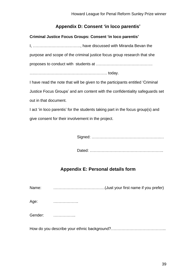# **Appendix D: Consent 'in loco parentis'**

# **Criminal Justice Focus Groups: Consent 'in loco parentis'**

I, ………………………………, have discussed with Miranda Bevan the purpose and scope of the criminal justice focus group research that she proposes to conduct with students at …………………………………….

….………………………………………………. today.

I have read the note that will be given to the participants entitled 'Criminal Justice Focus Groups' and am content with the confidentiality safeguards set out in that document.

I act 'in loco parentis' for the students taking part in the focus group(s) and give consent for their involvement in the project.

Signed: …………………………………………….…

Dated: ………………………………………………..

# **Appendix E: Personal details form**

|  | Name: | (Just your first name if you prefer) |
|--|-------|--------------------------------------|
|--|-------|--------------------------------------|

Age: ……………….

Gender: ……………..

How do you describe your ethnic background?…………………………………...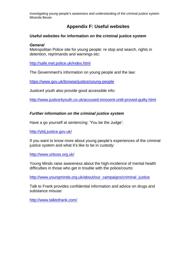# **Appendix F: Useful websites**

## **Useful websites for information on the criminal justice system**

#### *General*

Metropolitan Police site for young people: re stop and search, rights in detention, reprimands and warnings etc:

<http://safe.met.police.uk/index.html>

The Government's information on young people and the law:

<https://www.gov.uk/browse/justice/young-people>

Justice4 youth also provide good accessible info:

<http://www.justice4youth.co.uk/accused-innocent-until-proved-guilty.html>

## *Further information on the criminal justice system*

Have a go yourself at sentencing: 'You be the Judge':

<http://ybtj.justice.gov.uk/>

If you want to know more about young people's experiences of the criminal justice system and what it's like to be in custody:

<http://www.urboss.org.uk/>

Young Minds raise awareness about the high-incidence of mental health difficulties in those who get in trouble with the police/courts:

[http://www.youngminds.org.uk/about/our\\_campaigns/criminal\\_justice](http://www.youngminds.org.uk/about/our_campaigns/criminal_justice)

Talk to Frank provides confidential information and advice on drugs and substance misuse:

<http://www.talktofrank.com/>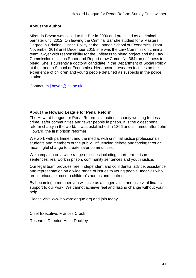## **About the author**

Miranda Bevan was called to the Bar in 2000 and practised as a criminal barrister until 2012. On leaving the Criminal Bar she studied for a Masters Degree in Criminal Justice Policy at the London School of Economics. From November 2013 until December 2015 she was the Law Commission criminal team lawyer with responsibility for the unfitness to plead project and the Law Commission's Issues Paper and Report (Law Comm No 364) on unfitness to plead. She is currently a doctoral candidate in the Department of Social Policy at the London School of Economics. Her doctoral research focuses on the experience of children and young people detained as suspects in the police station.

Contact: [m.j.bevan@lse.ac.uk](file:///C:/Users/Anita/AppData/Local/COMPANY/Research/What%20is%20justice/Working%20paper%20series/edited%20versions/Bevan/m.j.bevan@lse.ac.uk)

#### **About the Howard League for Penal Reform**

The Howard League for Penal Reform is a national charity working for less crime, safer communities and fewer people in prison. It is the oldest penal reform charity in the world. It was established in 1866 and is named after John Howard, the first prison reformer.

We work with parliament and the media, with criminal justice professionals, students and members of the public, influencing debate and forcing through meaningful change to create safer communities.

We campaign on a wide range of issues including short term prison sentences, real work in prison, community sentences and youth justice.

Our legal team provides free, independent and confidential advice, assistance and representation on a wide range of issues to young people under 21 who are in prisons or secure children's homes and centres.

By becoming a member you will give us a bigger voice and give vital financial support to our work. We cannot achieve real and lasting change without your help.

Please visit www.howardleague.org and join today.

Chief Executive: Frances Crook

Research Director: Anita Dockley